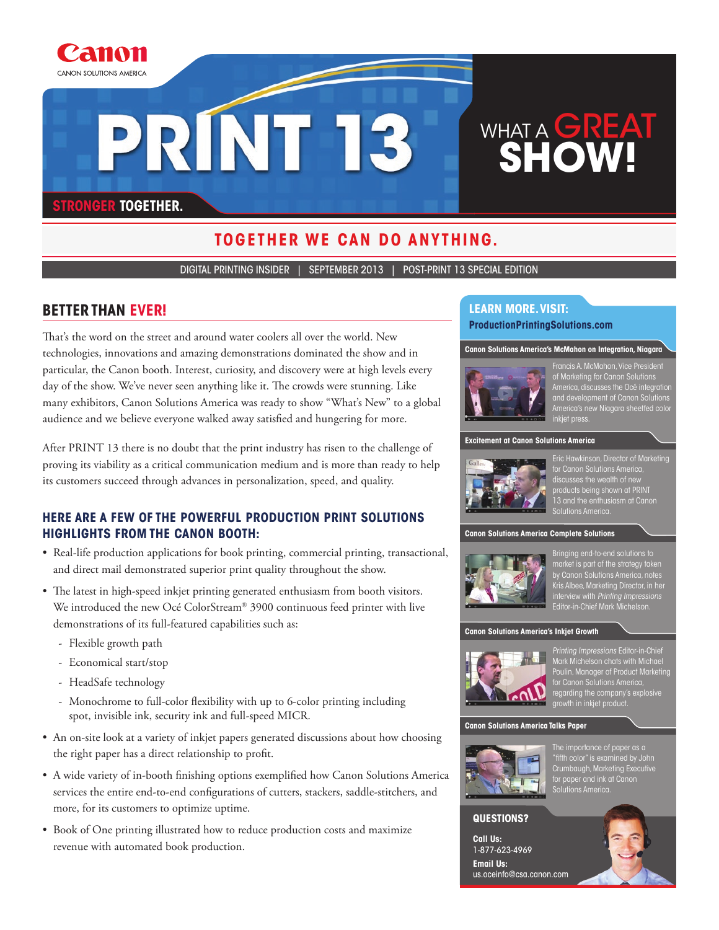

# **together we can do anything.**

digital printing insider | September 2013 | Post-Print 13 special edition

# **Better Than Ever!**

That's the word on the street and around water coolers all over the world. New technologies, innovations and amazing demonstrations dominated the show and in particular, the Canon booth. Interest, curiosity, and discovery were at high levels every day of the show. We've never seen anything like it. The crowds were stunning. Like many exhibitors, Canon Solutions America was ready to show "What's New" to a global audience and we believe everyone walked away satisfied and hungering for more.

After PRINT 13 there is no doubt that the print industry has risen to the challenge of proving its viability as a critical communication medium and is more than ready to help its customers succeed through advances in personalization, speed, and quality.

# **Here are a few of the powerful Production Print Solutions highlights from the Canon booth:**

- Real-life production applications for book printing, commercial printing, transactional, and direct mail demonstrated superior print quality throughout the show.
- The latest in high-speed inkjet printing generated enthusiasm from booth visitors. We introduced the new Océ ColorStream® 3900 continuous feed printer with live demonstrations of its full-featured capabilities such as:
	- Flexible growth path
	- Economical start/stop
	- HeadSafe technology
	- Monochrome to full-color flexibility with up to 6-color printing including spot, invisible ink, security ink and full-speed MICR.
- An on-site look at a variety of inkjet papers generated discussions about how choosing the right paper has a direct relationship to profit.
- A wide variety of in-booth finishing options exemplified how Canon Solutions America services the entire end-to-end configurations of cutters, stackers, saddle-stitchers, and more, for its customers to optimize uptime.
- Book of One printing illustrated how to reduce production costs and maximize revenue with automated book production.

# **Learn more. Visit:**

**ProductionPrintingSolutions.com**

#### **Canon Solutions America's McMahon on Integration, Niagara**



Francis A. McMahon, Vice president of marketing for Canon Solutions America, discusses the Océ integration and development of Canon Solutions America's new Niagara sheetfed color inkjet press.

**Excitement at Canon Solutions America**



Eric Hawkinson, director of marketing for Canon Solutions America, discusses the wealth of new products being shown at PRINT 13 and the enthusiasm at Canon Solutions America.

#### **Canon Solutions America Complete Solutions**



market is part of the strategy taken by Canon Solutions America, notes by Carlon Solutions America, holes<br>Kris Albee, Marketing Director, in her interview with Printing Impressions Editor-in-Chief Mark Michelson.

#### **Canon Solutions America's Inkjet Growth**



Printing Impressions Editor-in-Chief Mark Michelson chats with Michael Poulin, Manager of Product Marketing for Canon Solutions America, regarding the company's explosive growth in inkjet product.

#### **Canon Solutions America Talks Paper**



The importance of paper as a "fifth color" is examined by John Crumbaugh, Marketing Executive for paper and ink at Canon solutions America.

#### **Questions?**

**Call Us:**  1-877-623-4969 **Email Us:**  us.oceinfo@csa.canon.com